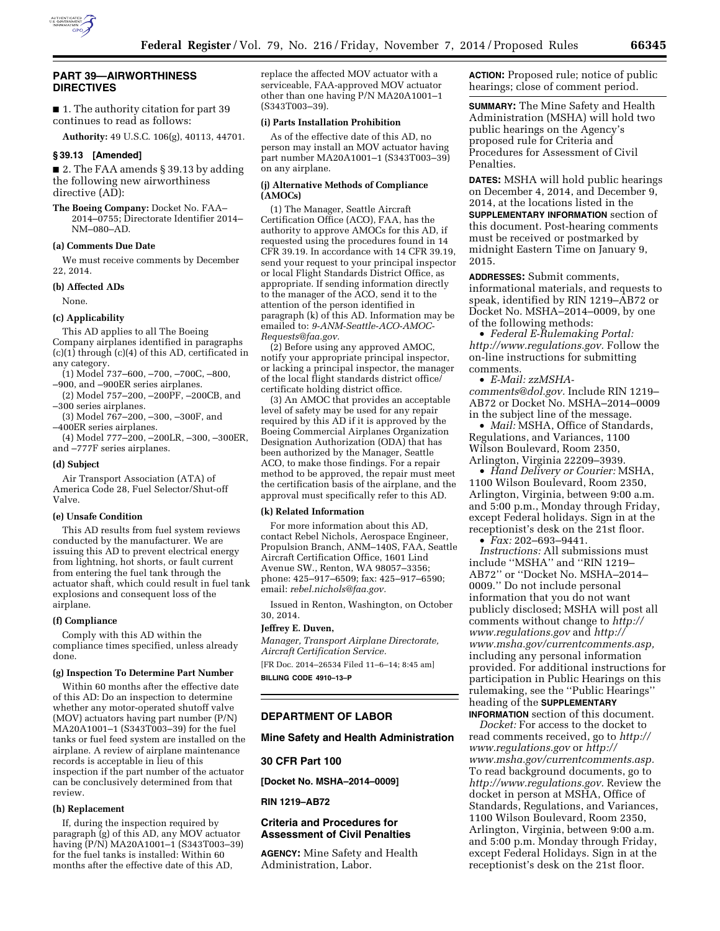

## **PART 39—AIRWORTHINESS DIRECTIVES**

■ 1. The authority citation for part 39 continues to read as follows:

**Authority:** 49 U.S.C. 106(g), 40113, 44701.

## **§ 39.13 [Amended]**

■ 2. The FAA amends § 39.13 by adding the following new airworthiness directive (AD):

**The Boeing Company:** Docket No. FAA– 2014–0755; Directorate Identifier 2014– NM–080–AD.

### **(a) Comments Due Date**

We must receive comments by December 22, 2014.

#### **(b) Affected ADs**

None.

# **(c) Applicability**

This AD applies to all The Boeing Company airplanes identified in paragraphs (c)(1) through (c)(4) of this AD, certificated in any category.

- (1) Model 737–600, –700, –700C, –800,
- –900, and –900ER series airplanes. (2) Model 757–200, –200PF, –200CB, and
- –300 series airplanes.

(3) Model 767–200, –300, –300F, and –400ER series airplanes.

(4) Model 777–200, –200LR, –300, –300ER, and –777F series airplanes.

#### **(d) Subject**

Air Transport Association (ATA) of America Code 28, Fuel Selector/Shut-off Valve.

## **(e) Unsafe Condition**

This AD results from fuel system reviews conducted by the manufacturer. We are issuing this AD to prevent electrical energy from lightning, hot shorts, or fault current from entering the fuel tank through the actuator shaft, which could result in fuel tank explosions and consequent loss of the airplane.

#### **(f) Compliance**

Comply with this AD within the compliance times specified, unless already done.

## **(g) Inspection To Determine Part Number**

Within 60 months after the effective date of this AD: Do an inspection to determine whether any motor-operated shutoff valve (MOV) actuators having part number (P/N) MA20A1001–1 (S343T003–39) for the fuel tanks or fuel feed system are installed on the airplane. A review of airplane maintenance records is acceptable in lieu of this inspection if the part number of the actuator can be conclusively determined from that review.

#### **(h) Replacement**

If, during the inspection required by paragraph (g) of this AD, any MOV actuator having (P/N) MA20A1001–1 (S343T003–39) for the fuel tanks is installed: Within 60 months after the effective date of this AD,

replace the affected MOV actuator with a serviceable, FAA-approved MOV actuator other than one having P/N MA20A1001–1 (S343T003–39).

### **(i) Parts Installation Prohibition**

As of the effective date of this AD, no person may install an MOV actuator having part number MA20A1001–1 (S343T003–39) on any airplane.

## **(j) Alternative Methods of Compliance (AMOCs)**

(1) The Manager, Seattle Aircraft Certification Office (ACO), FAA, has the authority to approve AMOCs for this AD, if requested using the procedures found in 14 CFR 39.19. In accordance with 14 CFR 39.19, send your request to your principal inspector or local Flight Standards District Office, as appropriate. If sending information directly to the manager of the ACO, send it to the attention of the person identified in paragraph (k) of this AD. Information may be emailed to: *[9-ANM-Seattle-ACO-AMOC-](mailto:9-ANM-Seattle-ACO-AMOC-Requests@faa.gov)[Requests@faa.gov.](mailto:9-ANM-Seattle-ACO-AMOC-Requests@faa.gov)* 

(2) Before using any approved AMOC, notify your appropriate principal inspector, or lacking a principal inspector, the manager of the local flight standards district office/ certificate holding district office.

(3) An AMOC that provides an acceptable level of safety may be used for any repair required by this AD if it is approved by the Boeing Commercial Airplanes Organization Designation Authorization (ODA) that has been authorized by the Manager, Seattle ACO, to make those findings. For a repair method to be approved, the repair must meet the certification basis of the airplane, and the approval must specifically refer to this AD.

## **(k) Related Information**

For more information about this AD, contact Rebel Nichols, Aerospace Engineer, Propulsion Branch, ANM–140S, FAA, Seattle Aircraft Certification Office, 1601 Lind Avenue SW., Renton, WA 98057–3356; phone: 425–917–6509; fax: 425–917–6590; email: *[rebel.nichols@faa.gov.](mailto:rebel.nichols@faa.gov)* 

Issued in Renton, Washington, on October 30, 2014.

#### **Jeffrey E. Duven,**

*Manager, Transport Airplane Directorate, Aircraft Certification Service.*  [FR Doc. 2014–26534 Filed 11–6–14; 8:45 am]

**BILLING CODE 4910–13–P** 

# **DEPARTMENT OF LABOR**

## **Mine Safety and Health Administration**

## **30 CFR Part 100**

**[Docket No. MSHA–2014–0009]** 

**RIN 1219–AB72** 

# **Criteria and Procedures for Assessment of Civil Penalties**

**AGENCY:** Mine Safety and Health Administration, Labor.

**ACTION:** Proposed rule; notice of public hearings; close of comment period.

**SUMMARY:** The Mine Safety and Health Administration (MSHA) will hold two public hearings on the Agency's proposed rule for Criteria and Procedures for Assessment of Civil Penalties.

**DATES:** MSHA will hold public hearings on December 4, 2014, and December 9, 2014, at the locations listed in the **SUPPLEMENTARY INFORMATION** section of this document. Post-hearing comments must be received or postmarked by midnight Eastern Time on January 9, 2015.

**ADDRESSES:** Submit comments, informational materials, and requests to speak, identified by RIN 1219–AB72 or Docket No. MSHA–2014–0009, by one of the following methods:

• *Federal E-Rulemaking Portal: [http://www.regulations.gov.](http://www.regulations.gov)* Follow the on-line instructions for submitting comments.

• *E-Mail: [zzMSHA-](mailto:zzMSHA-comments@dol.gov)*

*[comments@dol.gov.](mailto:zzMSHA-comments@dol.gov)* Include RIN 1219– AB72 or Docket No. MSHA–2014–0009 in the subject line of the message.

• *Mail:* MSHA, Office of Standards, Regulations, and Variances, 1100 Wilson Boulevard, Room 2350, Arlington, Virginia 22209–3939.

• *Hand Delivery or Courier:* MSHA, 1100 Wilson Boulevard, Room 2350, Arlington, Virginia, between 9:00 a.m. and 5:00 p.m., Monday through Friday, except Federal holidays. Sign in at the receptionist's desk on the 21st floor.

• *Fax:* 202–693–9441.

*Instructions:* All submissions must include ''MSHA'' and ''RIN 1219– AB72'' or ''Docket No. MSHA–2014– 0009.'' Do not include personal information that you do not want publicly disclosed; MSHA will post all comments without change to *[http://](http://www.regulations.gov) [www.regulations.gov](http://www.regulations.gov)* and *[http://](http://www.msha.gov/currentcomments.asp)  [www.msha.gov/currentcomments.asp,](http://www.msha.gov/currentcomments.asp)*  including any personal information provided. For additional instructions for participation in Public Hearings on this rulemaking, see the ''Public Hearings'' heading of the **SUPPLEMENTARY INFORMATION** section of this document.

*Docket:* For access to the docket to read comments received, go to *[http://](http://www.regulations.gov) [www.regulations.gov](http://www.regulations.gov)* or *[http://](http://www.msha.gov/currentcomments.asp)  [www.msha.gov/currentcomments.asp.](http://www.msha.gov/currentcomments.asp)*  To read background documents, go to *[http://www.regulations.gov.](http://www.regulations.gov)* Review the docket in person at MSHA, Office of Standards, Regulations, and Variances, 1100 Wilson Boulevard, Room 2350, Arlington, Virginia, between 9:00 a.m. and 5:00 p.m. Monday through Friday, except Federal Holidays. Sign in at the receptionist's desk on the 21st floor.